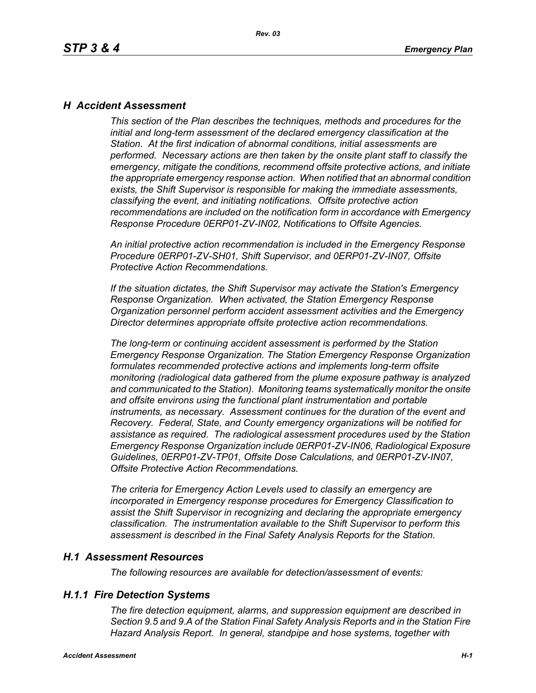### *H Accident Assessment*

*This section of the Plan describes the techniques, methods and procedures for the initial and long-term assessment of the declared emergency classification at the Station. At the first indication of abnormal conditions, initial assessments are performed. Necessary actions are then taken by the onsite plant staff to classify the emergency, mitigate the conditions, recommend offsite protective actions, and initiate the appropriate emergency response action. When notified that an abnormal condition exists, the Shift Supervisor is responsible for making the immediate assessments, classifying the event, and initiating notifications. Offsite protective action recommendations are included on the notification form in accordance with Emergency Response Procedure 0ERP01-ZV-IN02, Notifications to Offsite Agencies.*

*An initial protective action recommendation is included in the Emergency Response Procedure 0ERP01-ZV-SH01, Shift Supervisor, and 0ERP01-ZV-IN07, Offsite Protective Action Recommendations.*

*If the situation dictates, the Shift Supervisor may activate the Station's Emergency Response Organization. When activated, the Station Emergency Response Organization personnel perform accident assessment activities and the Emergency Director determines appropriate offsite protective action recommendations.*

*The long-term or continuing accident assessment is performed by the Station Emergency Response Organization. The Station Emergency Response Organization formulates recommended protective actions and implements long-term offsite monitoring (radiological data gathered from the plume exposure pathway is analyzed and communicated to the Station). Monitoring teams systematically monitor the onsite and offsite environs using the functional plant instrumentation and portable instruments, as necessary. Assessment continues for the duration of the event and Recovery. Federal, State, and County emergency organizations will be notified for assistance as required. The radiological assessment procedures used by the Station Emergency Response Organization include 0ERP01-ZV-IN06, Radiological Exposure Guidelines, 0ERP01-ZV-TP01, Offsite Dose Calculations, and 0ERP01-ZV-IN07, Offsite Protective Action Recommendations.*

*The criteria for Emergency Action Levels used to classify an emergency are incorporated in Emergency response procedures for Emergency Classification to assist the Shift Supervisor in recognizing and declaring the appropriate emergency classification. The instrumentation available to the Shift Supervisor to perform this assessment is described in the Final Safety Analysis Reports for the Station.*

#### *H.1 Assessment Resources*

*The following resources are available for detection/assessment of events:*

### *H.1.1 Fire Detection Systems*

*The fire detection equipment, alarms, and suppression equipment are described in Section 9.5 and 9.A of the Station Final Safety Analysis Reports and in the Station Fire Hazard Analysis Report. In general, standpipe and hose systems, together with*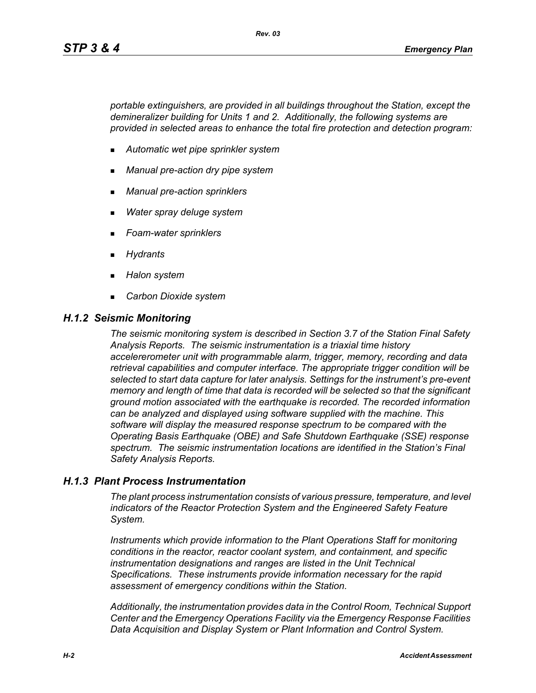*portable extinguishers, are provided in all buildings throughout the Station, except the demineralizer building for Units 1 and 2. Additionally, the following systems are provided in selected areas to enhance the total fire protection and detection program:*

- *Automatic wet pipe sprinkler system*
- *Manual pre-action dry pipe system*
- *Manual pre-action sprinklers*
- *Water spray deluge system*
- *Foam-water sprinklers*
- *Hydrants*
- *Halon system*
- *Carbon Dioxide system*

#### *H.1.2 Seismic Monitoring*

*The seismic monitoring system is described in Section 3.7 of the Station Final Safety Analysis Reports. The seismic instrumentation is a triaxial time history accelererometer unit with programmable alarm, trigger, memory, recording and data retrieval capabilities and computer interface. The appropriate trigger condition will be selected to start data capture for later analysis. Settings for the instrument's pre-event memory and length of time that data is recorded will be selected so that the significant ground motion associated with the earthquake is recorded. The recorded information can be analyzed and displayed using software supplied with the machine. This software will display the measured response spectrum to be compared with the Operating Basis Earthquake (OBE) and Safe Shutdown Earthquake (SSE) response spectrum. The seismic instrumentation locations are identified in the Station's Final Safety Analysis Reports.*

#### *H.1.3 Plant Process Instrumentation*

*The plant process instrumentation consists of various pressure, temperature, and level indicators of the Reactor Protection System and the Engineered Safety Feature System.*

*Instruments which provide information to the Plant Operations Staff for monitoring conditions in the reactor, reactor coolant system, and containment, and specific instrumentation designations and ranges are listed in the Unit Technical Specifications. These instruments provide information necessary for the rapid assessment of emergency conditions within the Station.*

*Additionally, the instrumentation provides data in the Control Room, Technical Support Center and the Emergency Operations Facility via the Emergency Response Facilities Data Acquisition and Display System or Plant Information and Control System.*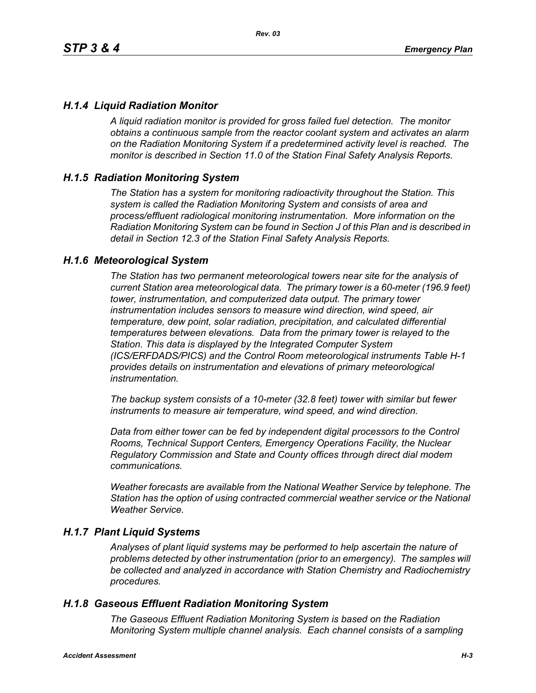## *H.1.4 Liquid Radiation Monitor*

*A liquid radiation monitor is provided for gross failed fuel detection. The monitor obtains a continuous sample from the reactor coolant system and activates an alarm on the Radiation Monitoring System if a predetermined activity level is reached. The monitor is described in Section 11.0 of the Station Final Safety Analysis Reports.*

### *H.1.5 Radiation Monitoring System*

*The Station has a system for monitoring radioactivity throughout the Station. This system is called the Radiation Monitoring System and consists of area and process/effluent radiological monitoring instrumentation. More information on the Radiation Monitoring System can be found in Section J of this Plan and is described in detail in Section 12.3 of the Station Final Safety Analysis Reports.*

#### *H.1.6 Meteorological System*

*The Station has two permanent meteorological towers near site for the analysis of current Station area meteorological data. The primary tower is a 60-meter (196.9 feet) tower, instrumentation, and computerized data output. The primary tower instrumentation includes sensors to measure wind direction, wind speed, air temperature, dew point, solar radiation, precipitation, and calculated differential temperatures between elevations. Data from the primary tower is relayed to the Station. This data is displayed by the Integrated Computer System (ICS/ERFDADS/PICS) and the Control Room meteorological instruments Table H-1 provides details on instrumentation and elevations of primary meteorological instrumentation.*

*The backup system consists of a 10-meter (32.8 feet) tower with similar but fewer instruments to measure air temperature, wind speed, and wind direction.*

*Data from either tower can be fed by independent digital processors to the Control Rooms, Technical Support Centers, Emergency Operations Facility, the Nuclear Regulatory Commission and State and County offices through direct dial modem communications.* 

*Weather forecasts are available from the National Weather Service by telephone. The Station has the option of using contracted commercial weather service or the National Weather Service.*

#### *H.1.7 Plant Liquid Systems*

*Analyses of plant liquid systems may be performed to help ascertain the nature of problems detected by other instrumentation (prior to an emergency). The samples will be collected and analyzed in accordance with Station Chemistry and Radiochemistry procedures.*

#### *H.1.8 Gaseous Effluent Radiation Monitoring System*

*The Gaseous Effluent Radiation Monitoring System is based on the Radiation Monitoring System multiple channel analysis. Each channel consists of a sampling*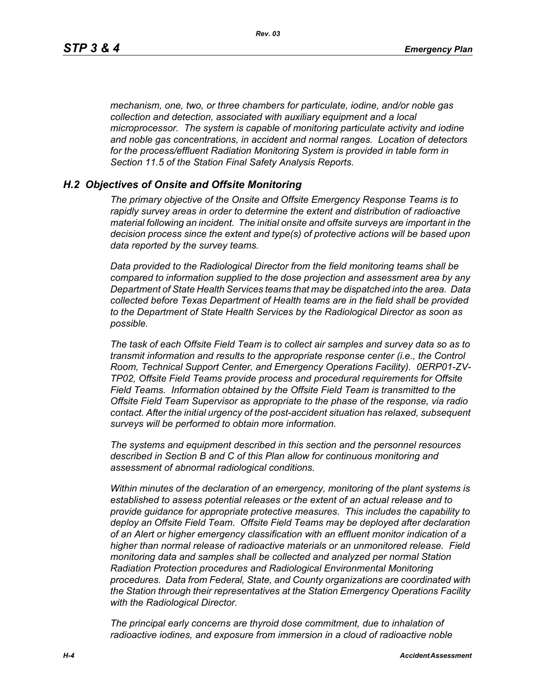*mechanism, one, two, or three chambers for particulate, iodine, and/or noble gas collection and detection, associated with auxiliary equipment and a local microprocessor. The system is capable of monitoring particulate activity and iodine and noble gas concentrations, in accident and normal ranges. Location of detectors for the process/effluent Radiation Monitoring System is provided in table form in Section 11.5 of the Station Final Safety Analysis Reports.* 

#### *H.2 Objectives of Onsite and Offsite Monitoring*

*The primary objective of the Onsite and Offsite Emergency Response Teams is to rapidly survey areas in order to determine the extent and distribution of radioactive material following an incident. The initial onsite and offsite surveys are important in the decision process since the extent and type(s) of protective actions will be based upon data reported by the survey teams.*

*Data provided to the Radiological Director from the field monitoring teams shall be compared to information supplied to the dose projection and assessment area by any Department of State Health Services teams that may be dispatched into the area. Data collected before Texas Department of Health teams are in the field shall be provided to the Department of State Health Services by the Radiological Director as soon as possible.*

*The task of each Offsite Field Team is to collect air samples and survey data so as to transmit information and results to the appropriate response center (i.e., the Control Room, Technical Support Center, and Emergency Operations Facility). 0ERP01-ZV-TP02, Offsite Field Teams provide process and procedural requirements for Offsite Field Teams. Information obtained by the Offsite Field Team is transmitted to the Offsite Field Team Supervisor as appropriate to the phase of the response, via radio contact. After the initial urgency of the post-accident situation has relaxed, subsequent surveys will be performed to obtain more information.*

*The systems and equipment described in this section and the personnel resources described in Section B and C of this Plan allow for continuous monitoring and assessment of abnormal radiological conditions.*

*Within minutes of the declaration of an emergency, monitoring of the plant systems is established to assess potential releases or the extent of an actual release and to provide guidance for appropriate protective measures. This includes the capability to deploy an Offsite Field Team. Offsite Field Teams may be deployed after declaration of an Alert or higher emergency classification with an effluent monitor indication of a higher than normal release of radioactive materials or an unmonitored release. Field monitoring data and samples shall be collected and analyzed per normal Station Radiation Protection procedures and Radiological Environmental Monitoring procedures. Data from Federal, State, and County organizations are coordinated with the Station through their representatives at the Station Emergency Operations Facility with the Radiological Director.*

*The principal early concerns are thyroid dose commitment, due to inhalation of radioactive iodines, and exposure from immersion in a cloud of radioactive noble*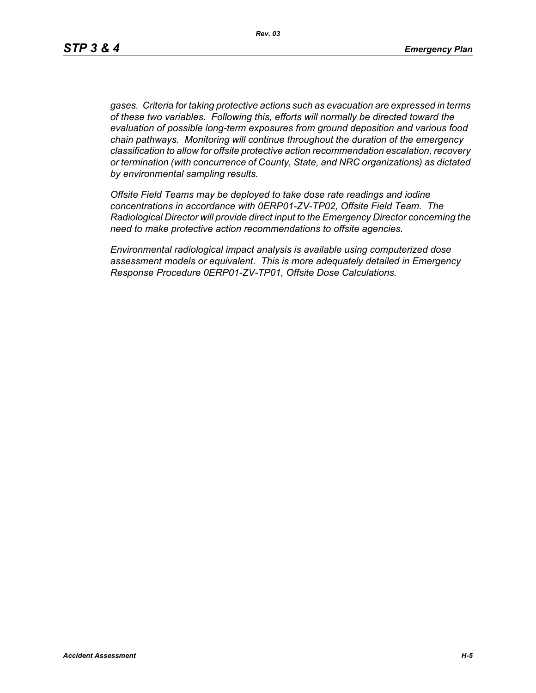*gases. Criteria for taking protective actions such as evacuation are expressed in terms of these two variables. Following this, efforts will normally be directed toward the evaluation of possible long-term exposures from ground deposition and various food chain pathways. Monitoring will continue throughout the duration of the emergency classification to allow for offsite protective action recommendation escalation, recovery or termination (with concurrence of County, State, and NRC organizations) as dictated by environmental sampling results.*

*Offsite Field Teams may be deployed to take dose rate readings and iodine concentrations in accordance with 0ERP01-ZV-TP02, Offsite Field Team. The Radiological Director will provide direct input to the Emergency Director concerning the need to make protective action recommendations to offsite agencies.* 

*Environmental radiological impact analysis is available using computerized dose assessment models or equivalent. This is more adequately detailed in Emergency Response Procedure 0ERP01-ZV-TP01, Offsite Dose Calculations.*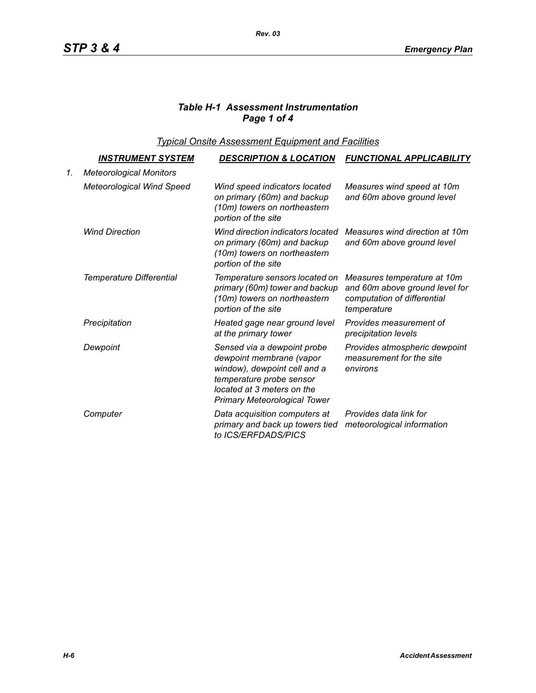# *Table H-1 Assessment Instrumentation Page 1 of 4*

*Typical Onsite Assessment Equipment and Facilities*

|    | <u>INSTRUMENT SYSTEM</u>         | <b>DESCRIPTION &amp; LOCATION</b>                                                                                                                                                        | <b>FUNCTIONAL APPLICABILITY</b>                                                                             |
|----|----------------------------------|------------------------------------------------------------------------------------------------------------------------------------------------------------------------------------------|-------------------------------------------------------------------------------------------------------------|
| 1. | <b>Meteorological Monitors</b>   |                                                                                                                                                                                          |                                                                                                             |
|    | <b>Meteorological Wind Speed</b> | Wind speed indicators located<br>on primary (60m) and backup<br>(10m) towers on northeastern<br>portion of the site                                                                      | Measures wind speed at 10m<br>and 60m above ground level                                                    |
|    | <b>Wind Direction</b>            | Wind direction indicators located<br>on primary (60m) and backup<br>(10m) towers on northeastern<br>portion of the site                                                                  | Measures wind direction at 10m<br>and 60m above ground level                                                |
|    | Temperature Differential         | Temperature sensors located on<br>primary (60m) tower and backup<br>(10m) towers on northeastern<br>portion of the site                                                                  | Measures temperature at 10m<br>and 60m above ground level for<br>computation of differential<br>temperature |
|    | Precipitation                    | Heated gage near ground level<br>at the primary tower                                                                                                                                    | Provides measurement of<br>precipitation levels                                                             |
|    | Dewpoint                         | Sensed via a dewpoint probe<br>dewpoint membrane (vapor<br>window), dewpoint cell and a<br>temperature probe sensor<br>located at 3 meters on the<br><b>Primary Meteorological Tower</b> | Provides atmospheric dewpoint<br>measurement for the site<br>environs                                       |
|    | Computer                         | Data acquisition computers at<br>primary and back up towers tied<br>to ICS/ERFDADS/PICS                                                                                                  | Provides data link for<br>meteorological information                                                        |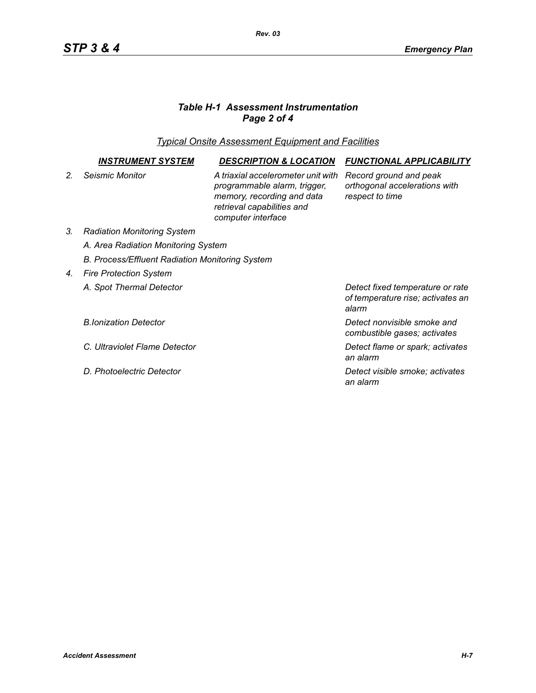# *Table H-1 Assessment Instrumentation Page 2 of 4*

*Typical Onsite Assessment Equipment and Facilities*

|                | INSTRUMENT SYSTEM                                      | <b>DESCRIPTION &amp; LOCATION</b>                                                                                                                    | <b>FUNCTIONAL APPLICABILITY</b>                                                |  |  |
|----------------|--------------------------------------------------------|------------------------------------------------------------------------------------------------------------------------------------------------------|--------------------------------------------------------------------------------|--|--|
| 2 <sub>1</sub> | Seismic Monitor                                        | A triaxial accelerometer unit with<br>programmable alarm, trigger,<br>memory, recording and data<br>retrieval capabilities and<br>computer interface | Record ground and peak<br>orthogonal accelerations with<br>respect to time     |  |  |
| 3.             | <b>Radiation Monitoring System</b>                     |                                                                                                                                                      |                                                                                |  |  |
|                | A. Area Radiation Monitoring System                    |                                                                                                                                                      |                                                                                |  |  |
|                | <b>B. Process/Effluent Radiation Monitoring System</b> |                                                                                                                                                      |                                                                                |  |  |
| 4.             | <b>Fire Protection System</b>                          |                                                                                                                                                      |                                                                                |  |  |
|                | A. Spot Thermal Detector                               |                                                                                                                                                      | Detect fixed temperature or rate<br>of temperature rise; activates an<br>alarm |  |  |
|                | <b>B.Ionization Detector</b>                           |                                                                                                                                                      | Detect nonvisible smoke and<br>combustible gases; activates                    |  |  |
|                | C. Ultraviolet Flame Detector                          |                                                                                                                                                      | Detect flame or spark; activates<br>an alarm                                   |  |  |
|                | D. Photoelectric Detector                              |                                                                                                                                                      | Detect visible smoke; activates<br>an alarm                                    |  |  |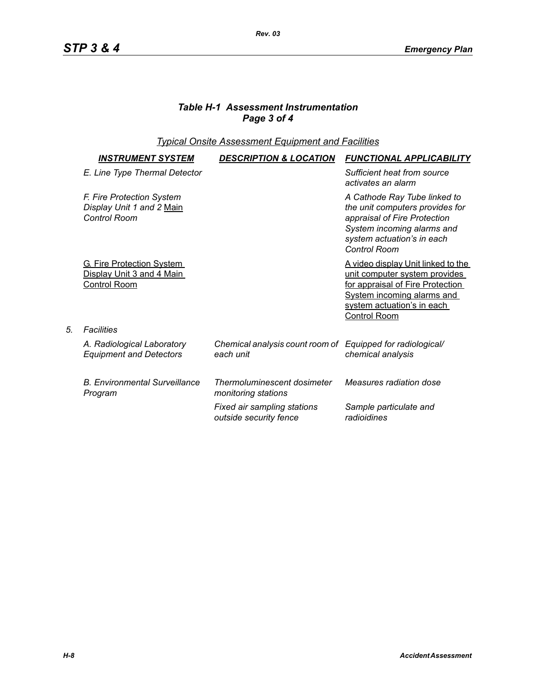## *Table H-1 Assessment Instrumentation Page 3 of 4*

*Rev. 03*

## *Typical Onsite Assessment Equipment and Facilities*

| <b>INSTRUMENT SYSTEM</b>                                                             | <b>DESCRIPTION &amp; LOCATION</b>                                       | <b>FUNCTIONAL APPLICABILITY</b>                                                                                                                                                            |
|--------------------------------------------------------------------------------------|-------------------------------------------------------------------------|--------------------------------------------------------------------------------------------------------------------------------------------------------------------------------------------|
| E. Line Type Thermal Detector                                                        |                                                                         | Sufficient heat from source<br>activates an alarm                                                                                                                                          |
| F. Fire Protection System<br>Display Unit 1 and 2 Main<br>Control Room               |                                                                         | A Cathode Ray Tube linked to<br>the unit computers provides for<br>appraisal of Fire Protection<br>System incoming alarms and<br>system actuation's in each<br>Control Room                |
| <b>G. Fire Protection System</b><br>Display Unit 3 and 4 Main<br><b>Control Room</b> |                                                                         | A video display Unit linked to the<br>unit computer system provides<br>for appraisal of Fire Protection<br>System incoming alarms and<br>system actuation's in each<br><b>Control Room</b> |
| Facilities                                                                           |                                                                         |                                                                                                                                                                                            |
| A. Radiological Laboratory<br><b>Equipment and Detectors</b>                         | Chemical analysis count room of Equipped for radiological/<br>each unit | chemical analysis                                                                                                                                                                          |
| <b>B. Environmental Surveillance</b><br>Program                                      | Thermoluminescent dosimeter<br>monitoring stations                      | Measures radiation dose                                                                                                                                                                    |
|                                                                                      | Fixed air sampling stations<br>outside security fence                   | Sample particulate and<br>radioidines                                                                                                                                                      |

*5. Facilities*